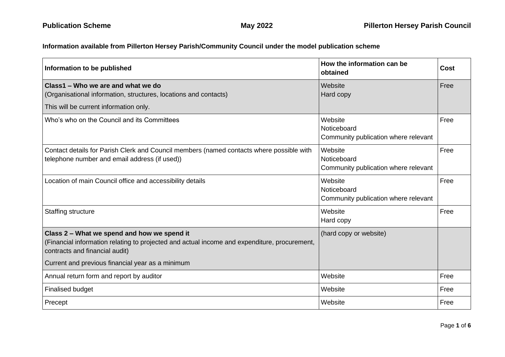## **Information available from Pillerton Hersey Parish/Community Council under the model publication scheme**

| Information to be published                                                                                                                                                   | How the information can be<br>obtained                         | <b>Cost</b> |
|-------------------------------------------------------------------------------------------------------------------------------------------------------------------------------|----------------------------------------------------------------|-------------|
| Class1 – Who we are and what we do<br>(Organisational information, structures, locations and contacts)<br>This will be current information only.                              | Website<br>Hard copy                                           | Free        |
| Who's who on the Council and its Committees                                                                                                                                   | Website<br>Noticeboard<br>Community publication where relevant | Free        |
| Contact details for Parish Clerk and Council members (named contacts where possible with<br>telephone number and email address (if used))                                     | Website<br>Noticeboard<br>Community publication where relevant | Free        |
| Location of main Council office and accessibility details                                                                                                                     | Website<br>Noticeboard<br>Community publication where relevant | Free        |
| Staffing structure                                                                                                                                                            | Website<br>Hard copy                                           | Free        |
| Class 2 - What we spend and how we spend it<br>(Financial information relating to projected and actual income and expenditure, procurement,<br>contracts and financial audit) | (hard copy or website)                                         |             |
| Current and previous financial year as a minimum                                                                                                                              |                                                                |             |
| Annual return form and report by auditor                                                                                                                                      | Website                                                        | Free        |
| <b>Finalised budget</b>                                                                                                                                                       | Website                                                        | Free        |
| Precept                                                                                                                                                                       | Website                                                        | Free        |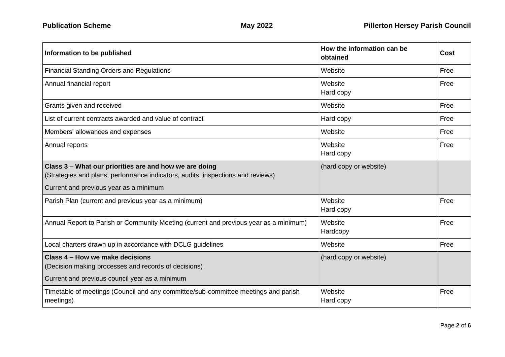| Information to be published                                                                                                                                                         | How the information can be<br>obtained | Cost |
|-------------------------------------------------------------------------------------------------------------------------------------------------------------------------------------|----------------------------------------|------|
| <b>Financial Standing Orders and Regulations</b>                                                                                                                                    | Website                                | Free |
| Annual financial report                                                                                                                                                             | Website<br>Hard copy                   | Free |
| Grants given and received                                                                                                                                                           | Website                                | Free |
| List of current contracts awarded and value of contract                                                                                                                             | Hard copy                              | Free |
| Members' allowances and expenses                                                                                                                                                    | Website                                | Free |
| Annual reports                                                                                                                                                                      | Website<br>Hard copy                   | Free |
| Class 3 – What our priorities are and how we are doing<br>(Strategies and plans, performance indicators, audits, inspections and reviews)<br>Current and previous year as a minimum | (hard copy or website)                 |      |
| Parish Plan (current and previous year as a minimum)                                                                                                                                | Website                                | Free |
|                                                                                                                                                                                     | Hard copy                              |      |
| Annual Report to Parish or Community Meeting (current and previous year as a minimum)                                                                                               | Website<br>Hardcopy                    | Free |
| Local charters drawn up in accordance with DCLG guidelines                                                                                                                          | Website                                | Free |
| Class 4 – How we make decisions<br>(Decision making processes and records of decisions)                                                                                             | (hard copy or website)                 |      |
| Current and previous council year as a minimum                                                                                                                                      |                                        |      |
| Timetable of meetings (Council and any committee/sub-committee meetings and parish<br>meetings)                                                                                     | Website<br>Hard copy                   | Free |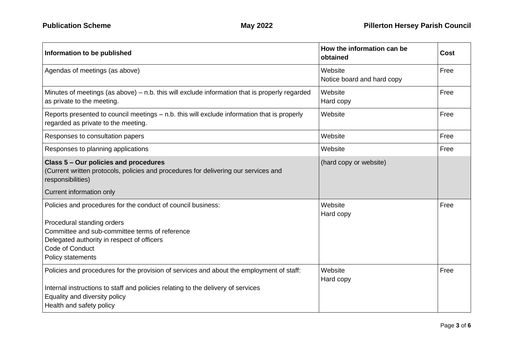| Information to be published                                                                                                                                                                                                               | How the information can be<br>obtained | <b>Cost</b> |
|-------------------------------------------------------------------------------------------------------------------------------------------------------------------------------------------------------------------------------------------|----------------------------------------|-------------|
| Agendas of meetings (as above)                                                                                                                                                                                                            | Website<br>Notice board and hard copy  | Free        |
| Minutes of meetings (as above) – n.b. this will exclude information that is properly regarded<br>as private to the meeting.                                                                                                               | Website<br>Hard copy                   | Free        |
| Reports presented to council meetings - n.b. this will exclude information that is properly<br>regarded as private to the meeting.                                                                                                        | Website                                | Free        |
| Responses to consultation papers                                                                                                                                                                                                          | Website                                | Free        |
| Responses to planning applications                                                                                                                                                                                                        | Website                                | Free        |
| Class 5 - Our policies and procedures<br>(Current written protocols, policies and procedures for delivering our services and<br>responsibilities)                                                                                         | (hard copy or website)                 |             |
| Current information only                                                                                                                                                                                                                  |                                        |             |
| Policies and procedures for the conduct of council business:                                                                                                                                                                              | Website<br>Hard copy                   | Free        |
| Procedural standing orders<br>Committee and sub-committee terms of reference<br>Delegated authority in respect of officers<br>Code of Conduct<br>Policy statements                                                                        |                                        |             |
| Policies and procedures for the provision of services and about the employment of staff:<br>Internal instructions to staff and policies relating to the delivery of services<br>Equality and diversity policy<br>Health and safety policy | Website<br>Hard copy                   | Free        |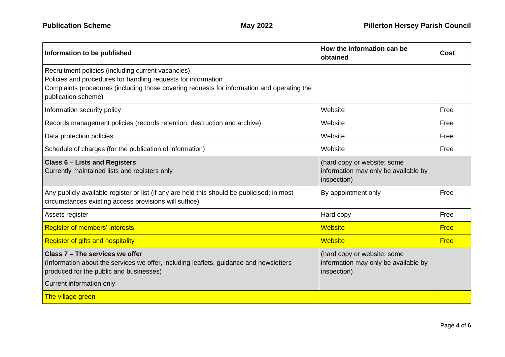| Information to be published                                                                                                                                                                                                              | How the information can be<br>obtained                                             | <b>Cost</b> |
|------------------------------------------------------------------------------------------------------------------------------------------------------------------------------------------------------------------------------------------|------------------------------------------------------------------------------------|-------------|
| Recruitment policies (including current vacancies)<br>Policies and procedures for handling requests for information<br>Complaints procedures (including those covering requests for information and operating the<br>publication scheme) |                                                                                    |             |
| Information security policy                                                                                                                                                                                                              | Website                                                                            | Free        |
| Records management policies (records retention, destruction and archive)                                                                                                                                                                 | Website                                                                            | Free        |
| Data protection policies                                                                                                                                                                                                                 | Website                                                                            | Free        |
| Schedule of charges (for the publication of information)                                                                                                                                                                                 | Website                                                                            | Free        |
| <b>Class 6 - Lists and Registers</b><br>Currently maintained lists and registers only                                                                                                                                                    | (hard copy or website; some<br>information may only be available by<br>inspection) |             |
| Any publicly available register or list (if any are held this should be publicised; in most<br>circumstances existing access provisions will suffice)                                                                                    | By appointment only                                                                | Free        |
| Assets register                                                                                                                                                                                                                          | Hard copy                                                                          | Free        |
| <b>Register of members' interests</b>                                                                                                                                                                                                    | <b>Website</b>                                                                     | <b>Free</b> |
| <b>Register of gifts and hospitality</b>                                                                                                                                                                                                 | <b>Website</b>                                                                     | <b>Free</b> |
| Class 7 - The services we offer<br>(Information about the services we offer, including leaflets, guidance and newsletters<br>produced for the public and businesses)<br>Current information only                                         | (hard copy or website; some<br>information may only be available by<br>inspection) |             |
| The village green                                                                                                                                                                                                                        |                                                                                    |             |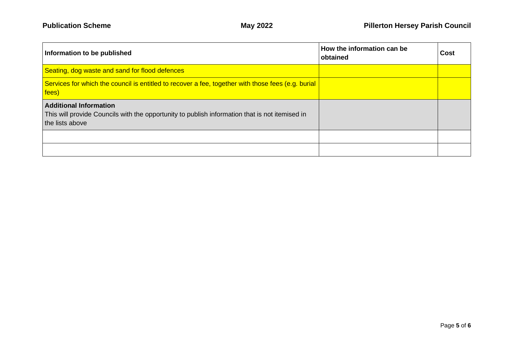| Information to be published                                                                                                                        | How the information can be<br>obtained | Cost |
|----------------------------------------------------------------------------------------------------------------------------------------------------|----------------------------------------|------|
| Seating, dog waste and sand for flood defences                                                                                                     |                                        |      |
| Services for which the council is entitled to recover a fee, together with those fees (e.g. burial<br>fees)                                        |                                        |      |
| <b>Additional Information</b><br>This will provide Councils with the opportunity to publish information that is not itemised in<br>the lists above |                                        |      |
|                                                                                                                                                    |                                        |      |
|                                                                                                                                                    |                                        |      |